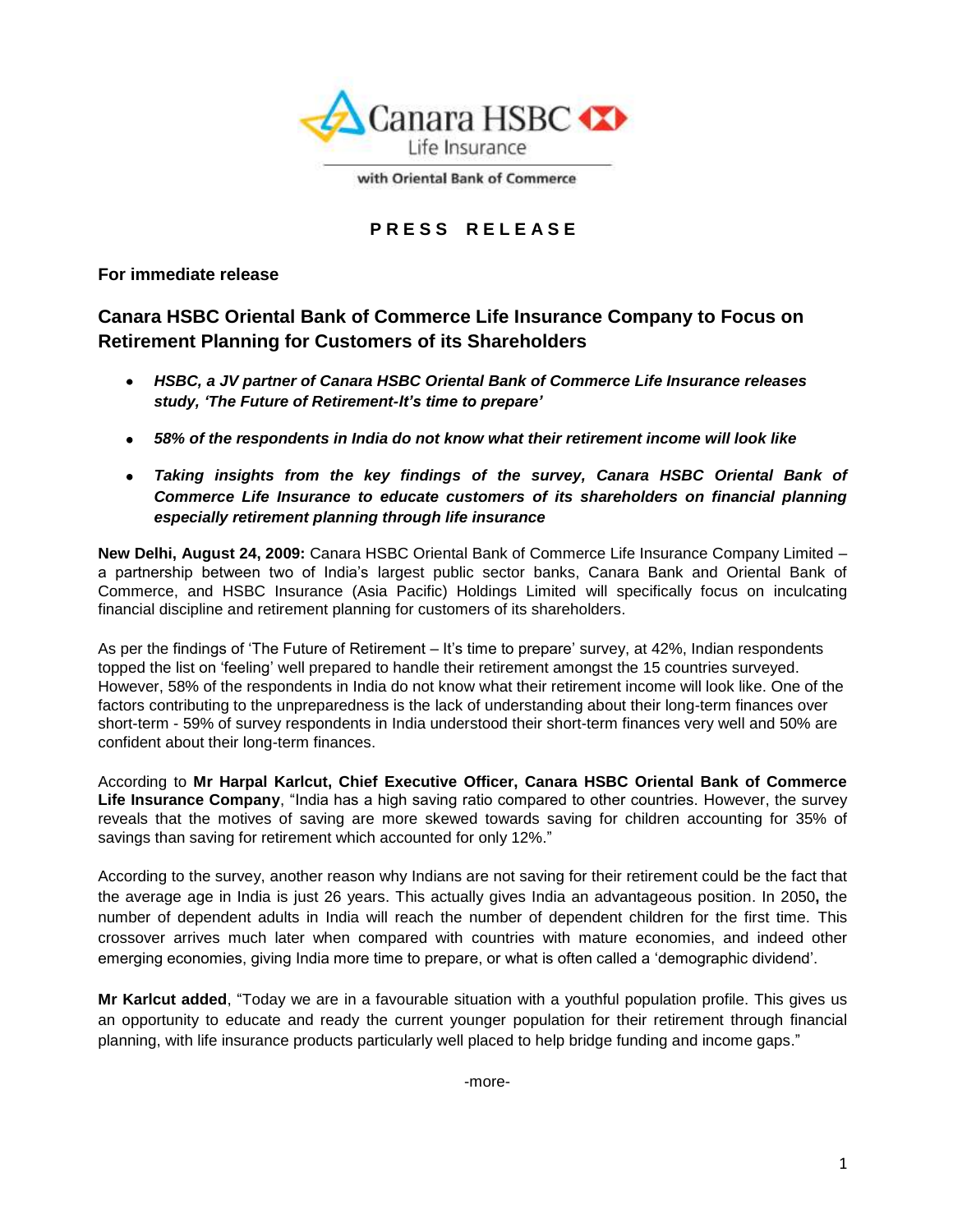

with Oriental Bank of Commerce

# **P R E S S R E L E A S E**

**For immediate release**

# **Canara HSBC Oriental Bank of Commerce Life Insurance Company to Focus on Retirement Planning for Customers of its Shareholders**

- *HSBC, a JV partner of Canara HSBC Oriental Bank of Commerce Life Insurance releases study, 'The Future of Retirement-It's time to prepare'*
- *58% of the respondents in India do not know what their retirement income will look like*
- *Taking insights from the key findings of the survey, Canara HSBC Oriental Bank of Commerce Life Insurance to educate customers of its shareholders on financial planning especially retirement planning through life insurance*

**New Delhi, August 24, 2009:** Canara HSBC Oriental Bank of Commerce Life Insurance Company Limited – a partnership between two of India"s largest public sector banks, Canara Bank and Oriental Bank of Commerce, and HSBC Insurance (Asia Pacific) Holdings Limited will specifically focus on inculcating financial discipline and retirement planning for customers of its shareholders.

As per the findings of 'The Future of Retirement – It's time to prepare' survey, at 42%, Indian respondents topped the list on "feeling" well prepared to handle their retirement amongst the 15 countries surveyed. However, 58% of the respondents in India do not know what their retirement income will look like. One of the factors contributing to the unpreparedness is the lack of understanding about their long-term finances over short-term - 59% of survey respondents in India understood their short-term finances very well and 50% are confident about their long-term finances.

According to **Mr Harpal Karlcut, Chief Executive Officer, Canara HSBC Oriental Bank of Commerce Life Insurance Company**, "India has a high saving ratio compared to other countries. However, the survey reveals that the motives of saving are more skewed towards saving for children accounting for 35% of savings than saving for retirement which accounted for only 12%."

According to the survey, another reason why Indians are not saving for their retirement could be the fact that the average age in India is just 26 years. This actually gives India an advantageous position. In 2050**,** the number of dependent adults in India will reach the number of dependent children for the first time. This crossover arrives much later when compared with countries with mature economies, and indeed other emerging economies, giving India more time to prepare, or what is often called a 'demographic dividend'.

**Mr Karlcut added**, "Today we are in a favourable situation with a youthful population profile. This gives us an opportunity to educate and ready the current younger population for their retirement through financial planning, with life insurance products particularly well placed to help bridge funding and income gaps."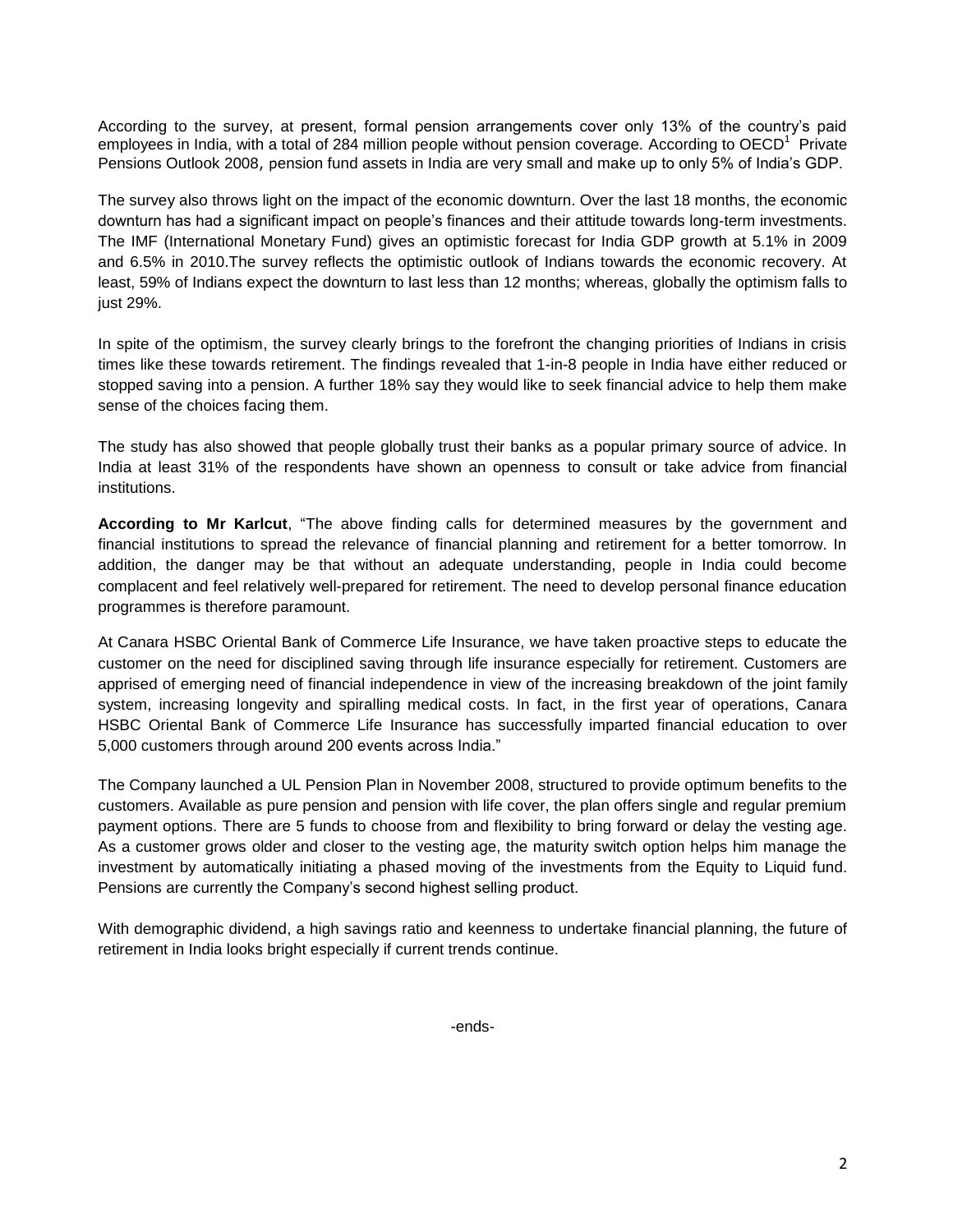According to the survey, at present, formal pension arrangements cover only 13% of the country"s paid employees in India, with a total of 284 million people without pension coverage. According to OECD<sup>1</sup> Private Pensions Outlook 2008, pension fund assets in India are very small and make up to only 5% of India's GDP.

The survey also throws light on the impact of the economic downturn. Over the last 18 months, the economic downturn has had a significant impact on people"s finances and their attitude towards long-term investments. The IMF (International Monetary Fund) gives an optimistic forecast for India GDP growth at 5.1% in 2009 and 6.5% in 2010.The survey reflects the optimistic outlook of Indians towards the economic recovery. At least, 59% of Indians expect the downturn to last less than 12 months; whereas, globally the optimism falls to just 29%.

In spite of the optimism, the survey clearly brings to the forefront the changing priorities of Indians in crisis times like these towards retirement. The findings revealed that 1-in-8 people in India have either reduced or stopped saving into a pension. A further 18% say they would like to seek financial advice to help them make sense of the choices facing them.

The study has also showed that people globally trust their banks as a popular primary source of advice. In India at least 31% of the respondents have shown an openness to consult or take advice from financial institutions.

**According to Mr Karlcut**, "The above finding calls for determined measures by the government and financial institutions to spread the relevance of financial planning and retirement for a better tomorrow. In addition, the danger may be that without an adequate understanding, people in India could become complacent and feel relatively well-prepared for retirement. The need to develop personal finance education programmes is therefore paramount.

At Canara HSBC Oriental Bank of Commerce Life Insurance, we have taken proactive steps to educate the customer on the need for disciplined saving through life insurance especially for retirement. Customers are apprised of emerging need of financial independence in view of the increasing breakdown of the joint family system, increasing longevity and spiralling medical costs. In fact, in the first year of operations, Canara HSBC Oriental Bank of Commerce Life Insurance has successfully imparted financial education to over 5,000 customers through around 200 events across India."

The Company launched a UL Pension Plan in November 2008, structured to provide optimum benefits to the customers. Available as pure pension and pension with life cover, the plan offers single and regular premium payment options. There are 5 funds to choose from and flexibility to bring forward or delay the vesting age. As a customer grows older and closer to the vesting age, the maturity switch option helps him manage the investment by automatically initiating a phased moving of the investments from the Equity to Liquid fund. Pensions are currently the Company's second highest selling product.

With demographic dividend, a high savings ratio and keenness to undertake financial planning, the future of retirement in India looks bright especially if current trends continue.

-ends-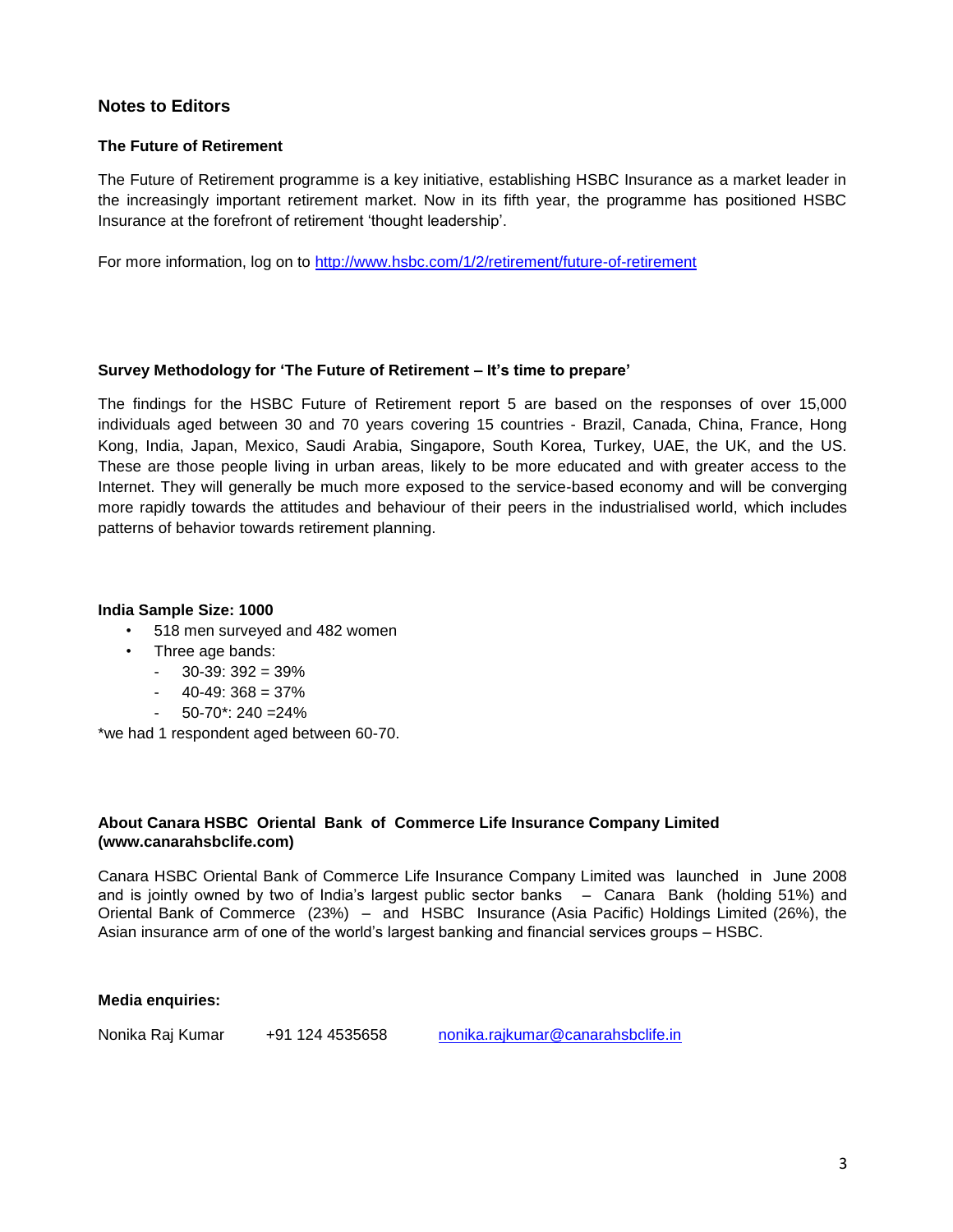## **Notes to Editors**

#### **The Future of Retirement**

The Future of Retirement programme is a key initiative, establishing HSBC Insurance as a market leader in the increasingly important retirement market. Now in its fifth year, the programme has positioned HSBC Insurance at the forefront of retirement "thought leadership".

For more information, log on to<http://www.hsbc.com/1/2/retirement/future-of-retirement>

#### **Survey Methodology for 'The Future of Retirement – It's time to prepare'**

The findings for the HSBC Future of Retirement report 5 are based on the responses of over 15,000 individuals aged between 30 and 70 years covering 15 countries - Brazil, Canada, China, France, Hong Kong, India, Japan, Mexico, Saudi Arabia, Singapore, South Korea, Turkey, UAE, the UK, and the US. These are those people living in urban areas, likely to be more educated and with greater access to the Internet. They will generally be much more exposed to the service-based economy and will be converging more rapidly towards the attitudes and behaviour of their peers in the industrialised world, which includes patterns of behavior towards retirement planning.

#### **India Sample Size: 1000**

- 518 men surveyed and 482 women
- Three age bands:
	- $-$  30-39: 392 = 39%
	- $40-49:368 = 37%$
	- $50-70$ \*: 240 = 24%

\*we had 1 respondent aged between 60-70.

#### **About Canara HSBC Oriental Bank of Commerce Life Insurance Company Limited (www.canarahsbclife.com)**

Canara HSBC Oriental Bank of Commerce Life Insurance Company Limited was launched in June 2008 and is jointly owned by two of India"s largest public sector banks – Canara Bank (holding 51%) and Oriental Bank of Commerce (23%) – and HSBC Insurance (Asia Pacific) Holdings Limited (26%), the Asian insurance arm of one of the world"s largest banking and financial services groups – HSBC.

**Media enquiries:**

Nonika Raj Kumar +91 124 4535658 [nonika.rajkumar@canarahsbclife.in](mailto:nonika.rajkumar@canarahsbclife.in)